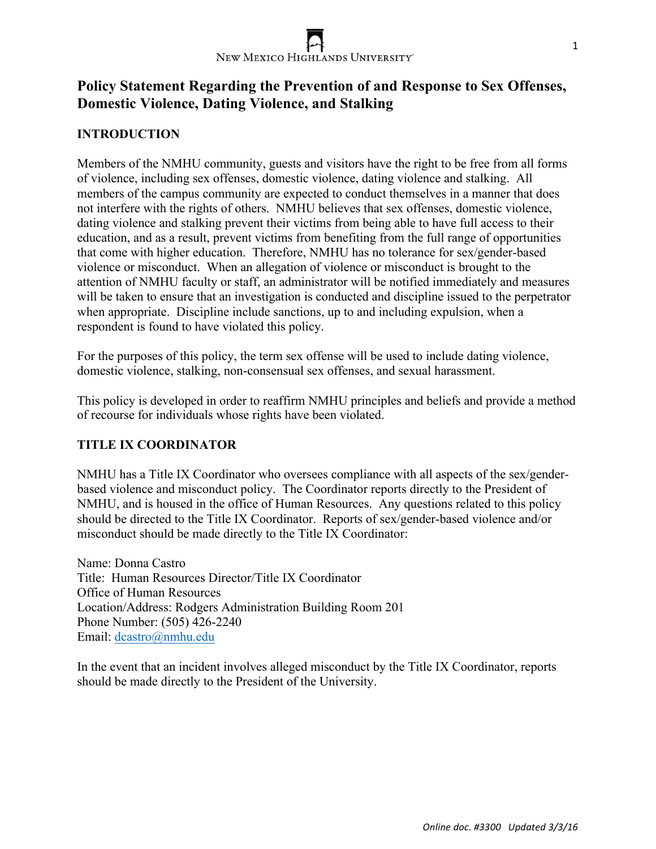

# **Policy Statement Regarding the Prevention of and Response to Sex Offenses, Domestic Violence, Dating Violence, and Stalking**

# **INTRODUCTION**

Members of the NMHU community, guests and visitors have the right to be free from all forms of violence, including sex offenses, domestic violence, dating violence and stalking. All members of the campus community are expected to conduct themselves in a manner that does not interfere with the rights of others. NMHU believes that sex offenses, domestic violence, dating violence and stalking prevent their victims from being able to have full access to their education, and as a result, prevent victims from benefiting from the full range of opportunities that come with higher education. Therefore, NMHU has no tolerance for sex/gender-based violence or misconduct. When an allegation of violence or misconduct is brought to the attention of NMHU faculty or staff, an administrator will be notified immediately and measures will be taken to ensure that an investigation is conducted and discipline issued to the perpetrator when appropriate. Discipline include sanctions, up to and including expulsion, when a respondent is found to have violated this policy.

For the purposes of this policy, the term sex offense will be used to include dating violence, domestic violence, stalking, non-consensual sex offenses, and sexual harassment.

This policy is developed in order to reaffirm NMHU principles and beliefs and provide a method of recourse for individuals whose rights have been violated.

# **TITLE IX COORDINATOR**

NMHU has a Title IX Coordinator who oversees compliance with all aspects of the sex/genderbased violence and misconduct policy. The Coordinator reports directly to the President of NMHU, and is housed in the office of Human Resources. Any questions related to this policy should be directed to the Title IX Coordinator. Reports of sex/gender-based violence and/or misconduct should be made directly to the Title IX Coordinator:

Name: Donna Castro Title: Human Resources Director/Title IX Coordinator Office of Human Resources Location/Address: Rodgers Administration Building Room 201 Phone Number: (505) 426-2240 Email: dcastro@nmhu.edu

In the event that an incident involves alleged misconduct by the Title IX Coordinator, reports should be made directly to the President of the University.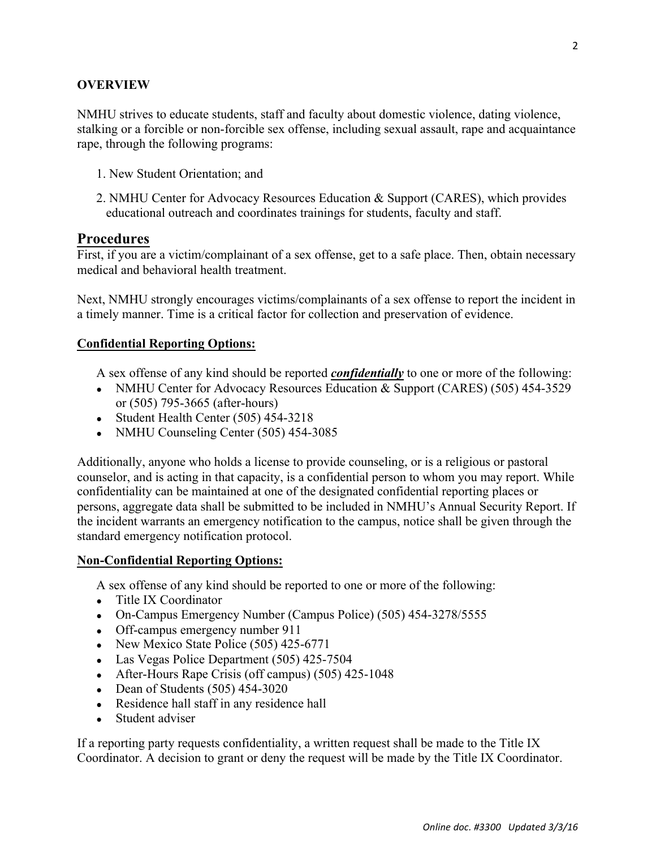#### **OVERVIEW**

NMHU strives to educate students, staff and faculty about domestic violence, dating violence, stalking or a forcible or non-forcible sex offense, including sexual assault, rape and acquaintance rape, through the following programs:

- 1. New Student Orientation; and
- 2. NMHU Center for Advocacy Resources Education & Support (CARES), which provides educational outreach and coordinates trainings for students, faculty and staff.

### **Procedures**

First, if you are a victim/complainant of a sex offense, get to a safe place. Then, obtain necessary medical and behavioral health treatment.

Next, NMHU strongly encourages victims/complainants of a sex offense to report the incident in a timely manner. Time is a critical factor for collection and preservation of evidence.

#### **Confidential Reporting Options:**

A sex offense of any kind should be reported *confidentially* to one or more of the following:

- NMHU Center for Advocacy Resources Education & Support (CARES) (505) 454-3529 or (505) 795-3665 (after-hours)
- Student Health Center (505) 454-3218
- NMHU Counseling Center (505) 454-3085

Additionally, anyone who holds a license to provide counseling, or is a religious or pastoral counselor, and is acting in that capacity, is a confidential person to whom you may report. While confidentiality can be maintained at one of the designated confidential reporting places or persons, aggregate data shall be submitted to be included in NMHU's Annual Security Report. If the incident warrants an emergency notification to the campus, notice shall be given through the standard emergency notification protocol.

#### **Non-Confidential Reporting Options:**

A sex offense of any kind should be reported to one or more of the following:

- Title IX Coordinator
- On-Campus Emergency Number (Campus Police) (505) 454-3278/5555
- Off-campus emergency number 911
- New Mexico State Police (505) 425-6771
- Las Vegas Police Department (505) 425-7504
- After-Hours Rape Crisis (off campus) (505) 425-1048
- Dean of Students  $(505)$  454-3020
- Residence hall staff in any residence hall
- Student adviser

If a reporting party requests confidentiality, a written request shall be made to the Title IX Coordinator. A decision to grant or deny the request will be made by the Title IX Coordinator.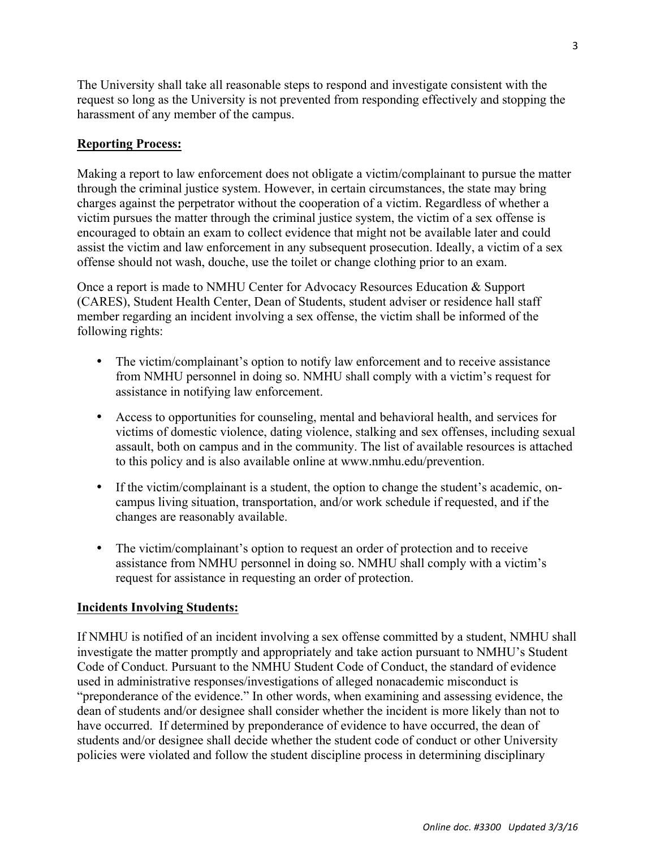The University shall take all reasonable steps to respond and investigate consistent with the request so long as the University is not prevented from responding effectively and stopping the harassment of any member of the campus.

# **Reporting Process:**

Making a report to law enforcement does not obligate a victim/complainant to pursue the matter through the criminal justice system. However, in certain circumstances, the state may bring charges against the perpetrator without the cooperation of a victim. Regardless of whether a victim pursues the matter through the criminal justice system, the victim of a sex offense is encouraged to obtain an exam to collect evidence that might not be available later and could assist the victim and law enforcement in any subsequent prosecution. Ideally, a victim of a sex offense should not wash, douche, use the toilet or change clothing prior to an exam.

Once a report is made to NMHU Center for Advocacy Resources Education & Support (CARES), Student Health Center, Dean of Students, student adviser or residence hall staff member regarding an incident involving a sex offense, the victim shall be informed of the following rights:

- The victim/complainant's option to notify law enforcement and to receive assistance from NMHU personnel in doing so. NMHU shall comply with a victim's request for assistance in notifying law enforcement.
- Access to opportunities for counseling, mental and behavioral health, and services for victims of domestic violence, dating violence, stalking and sex offenses, including sexual assault, both on campus and in the community. The list of available resources is attached to this policy and is also available online at www.nmhu.edu/prevention.
- If the victim/complainant is a student, the option to change the student's academic, oncampus living situation, transportation, and/or work schedule if requested, and if the changes are reasonably available.
- The victim/complainant's option to request an order of protection and to receive assistance from NMHU personnel in doing so. NMHU shall comply with a victim's request for assistance in requesting an order of protection.

# **Incidents Involving Students:**

If NMHU is notified of an incident involving a sex offense committed by a student, NMHU shall investigate the matter promptly and appropriately and take action pursuant to NMHU's Student Code of Conduct. Pursuant to the NMHU Student Code of Conduct, the standard of evidence used in administrative responses/investigations of alleged nonacademic misconduct is "preponderance of the evidence." In other words, when examining and assessing evidence, the dean of students and/or designee shall consider whether the incident is more likely than not to have occurred. If determined by preponderance of evidence to have occurred, the dean of students and/or designee shall decide whether the student code of conduct or other University policies were violated and follow the student discipline process in determining disciplinary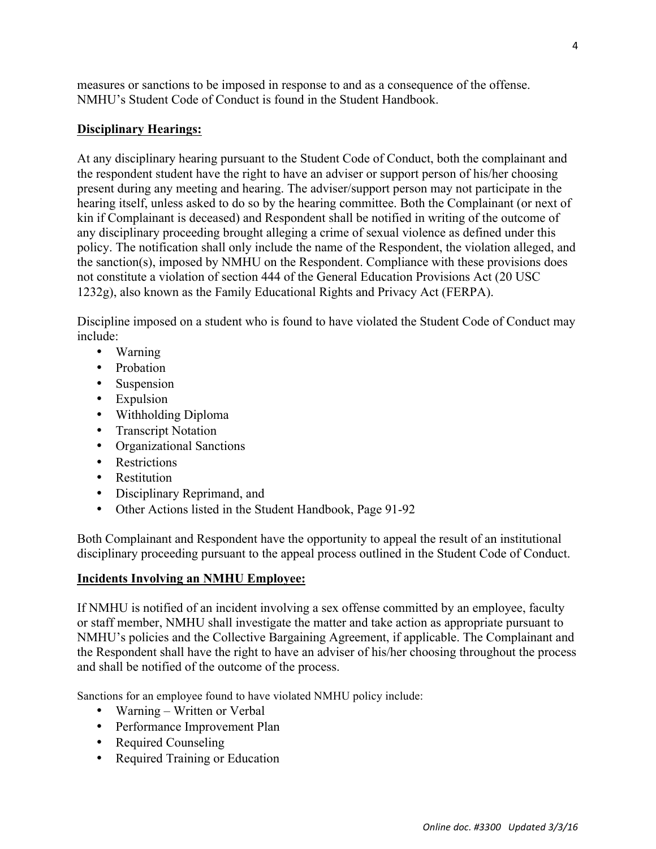measures or sanctions to be imposed in response to and as a consequence of the offense. NMHU's Student Code of Conduct is found in the Student Handbook.

# **Disciplinary Hearings:**

At any disciplinary hearing pursuant to the Student Code of Conduct, both the complainant and the respondent student have the right to have an adviser or support person of his/her choosing present during any meeting and hearing. The adviser/support person may not participate in the hearing itself, unless asked to do so by the hearing committee. Both the Complainant (or next of kin if Complainant is deceased) and Respondent shall be notified in writing of the outcome of any disciplinary proceeding brought alleging a crime of sexual violence as defined under this policy. The notification shall only include the name of the Respondent, the violation alleged, and the sanction(s), imposed by NMHU on the Respondent. Compliance with these provisions does not constitute a violation of section 444 of the General Education Provisions Act (20 USC 1232g), also known as the Family Educational Rights and Privacy Act (FERPA).

Discipline imposed on a student who is found to have violated the Student Code of Conduct may include:

- Warning
- Probation
- Suspension
- Expulsion
- Withholding Diploma
- Transcript Notation
- Organizational Sanctions
- Restrictions
- Restitution
- Disciplinary Reprimand, and
- Other Actions listed in the Student Handbook, Page 91-92

Both Complainant and Respondent have the opportunity to appeal the result of an institutional disciplinary proceeding pursuant to the appeal process outlined in the Student Code of Conduct.

# **Incidents Involving an NMHU Employee:**

If NMHU is notified of an incident involving a sex offense committed by an employee, faculty or staff member, NMHU shall investigate the matter and take action as appropriate pursuant to NMHU's policies and the Collective Bargaining Agreement, if applicable. The Complainant and the Respondent shall have the right to have an adviser of his/her choosing throughout the process and shall be notified of the outcome of the process.

Sanctions for an employee found to have violated NMHU policy include:

- Warning Written or Verbal
- Performance Improvement Plan
- Required Counseling
- Required Training or Education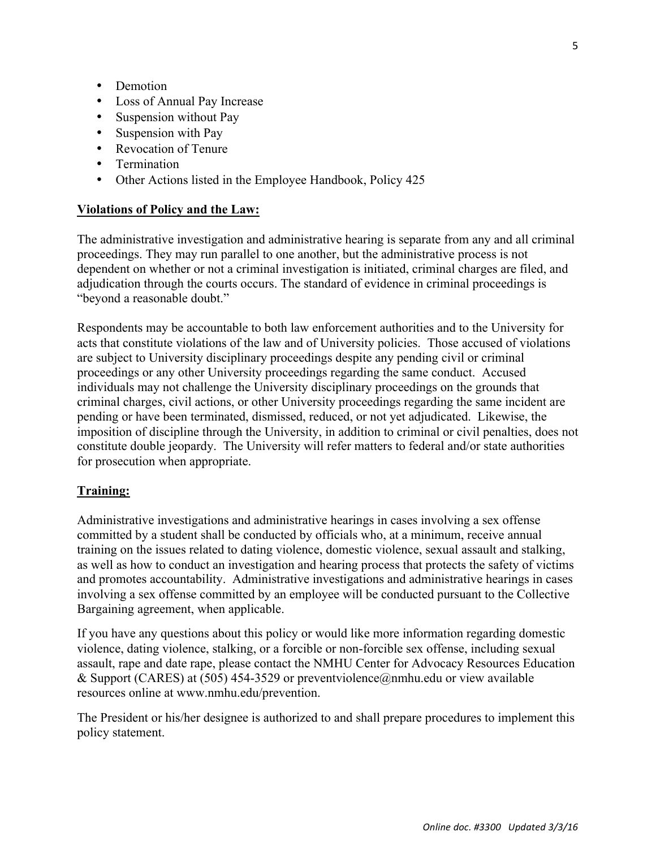- Demotion
- Loss of Annual Pay Increase
- Suspension without Pay
- Suspension with Pay
- Revocation of Tenure
- Termination
- Other Actions listed in the Employee Handbook, Policy 425

#### **Violations of Policy and the Law:**

The administrative investigation and administrative hearing is separate from any and all criminal proceedings. They may run parallel to one another, but the administrative process is not dependent on whether or not a criminal investigation is initiated, criminal charges are filed, and adjudication through the courts occurs. The standard of evidence in criminal proceedings is "beyond a reasonable doubt."

Respondents may be accountable to both law enforcement authorities and to the University for acts that constitute violations of the law and of University policies. Those accused of violations are subject to University disciplinary proceedings despite any pending civil or criminal proceedings or any other University proceedings regarding the same conduct. Accused individuals may not challenge the University disciplinary proceedings on the grounds that criminal charges, civil actions, or other University proceedings regarding the same incident are pending or have been terminated, dismissed, reduced, or not yet adjudicated. Likewise, the imposition of discipline through the University, in addition to criminal or civil penalties, does not constitute double jeopardy. The University will refer matters to federal and/or state authorities for prosecution when appropriate.

#### **Training:**

Administrative investigations and administrative hearings in cases involving a sex offense committed by a student shall be conducted by officials who, at a minimum, receive annual training on the issues related to dating violence, domestic violence, sexual assault and stalking, as well as how to conduct an investigation and hearing process that protects the safety of victims and promotes accountability. Administrative investigations and administrative hearings in cases involving a sex offense committed by an employee will be conducted pursuant to the Collective Bargaining agreement, when applicable.

If you have any questions about this policy or would like more information regarding domestic violence, dating violence, stalking, or a forcible or non-forcible sex offense, including sexual assault, rape and date rape, please contact the NMHU Center for Advocacy Resources Education & Support (CARES) at (505) 454-3529 or preventyiolence@nmhu.edu or view available resources online at www.nmhu.edu/prevention.

The President or his/her designee is authorized to and shall prepare procedures to implement this policy statement.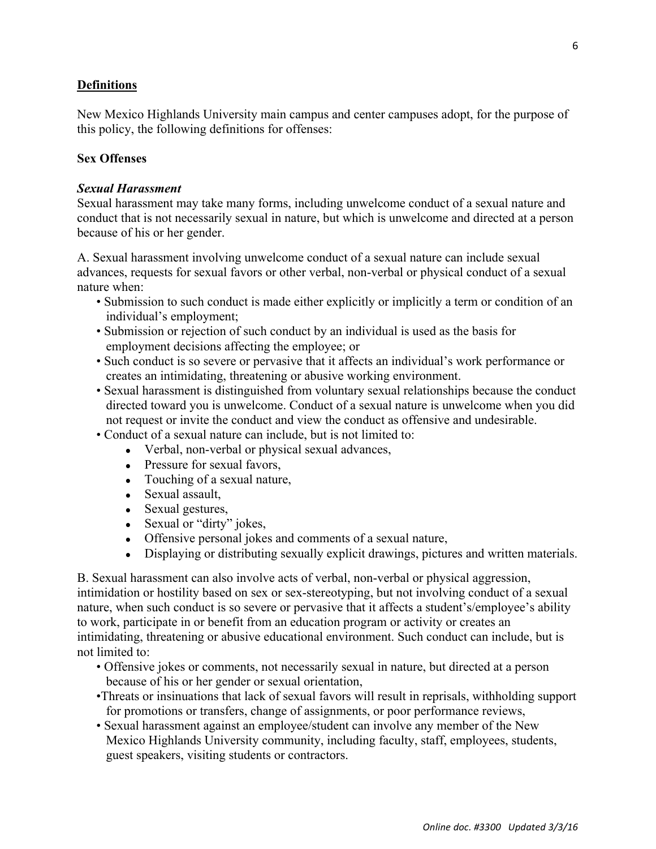# **Definitions**

New Mexico Highlands University main campus and center campuses adopt, for the purpose of this policy, the following definitions for offenses:

# **Sex Offenses**

#### *Sexual Harassment*

Sexual harassment may take many forms, including unwelcome conduct of a sexual nature and conduct that is not necessarily sexual in nature, but which is unwelcome and directed at a person because of his or her gender.

A. Sexual harassment involving unwelcome conduct of a sexual nature can include sexual advances, requests for sexual favors or other verbal, non-verbal or physical conduct of a sexual nature when:

- Submission to such conduct is made either explicitly or implicitly a term or condition of an individual's employment;
- Submission or rejection of such conduct by an individual is used as the basis for employment decisions affecting the employee; or
- Such conduct is so severe or pervasive that it affects an individual's work performance or creates an intimidating, threatening or abusive working environment.
- Sexual harassment is distinguished from voluntary sexual relationships because the conduct directed toward you is unwelcome. Conduct of a sexual nature is unwelcome when you did not request or invite the conduct and view the conduct as offensive and undesirable.
- Conduct of a sexual nature can include, but is not limited to:
	- Verbal, non-verbal or physical sexual advances,
	- Pressure for sexual favors,
	- Touching of a sexual nature,
	- Sexual assault,
	- Sexual gestures,
	- Sexual or "dirty" jokes,
	- Offensive personal jokes and comments of a sexual nature,
	- Displaying or distributing sexually explicit drawings, pictures and written materials.

B. Sexual harassment can also involve acts of verbal, non-verbal or physical aggression, intimidation or hostility based on sex or sex-stereotyping, but not involving conduct of a sexual nature, when such conduct is so severe or pervasive that it affects a student's/employee's ability to work, participate in or benefit from an education program or activity or creates an intimidating, threatening or abusive educational environment. Such conduct can include, but is not limited to:

- Offensive jokes or comments, not necessarily sexual in nature, but directed at a person because of his or her gender or sexual orientation,
- •Threats or insinuations that lack of sexual favors will result in reprisals, withholding support for promotions or transfers, change of assignments, or poor performance reviews,
- Sexual harassment against an employee/student can involve any member of the New Mexico Highlands University community, including faculty, staff, employees, students, guest speakers, visiting students or contractors.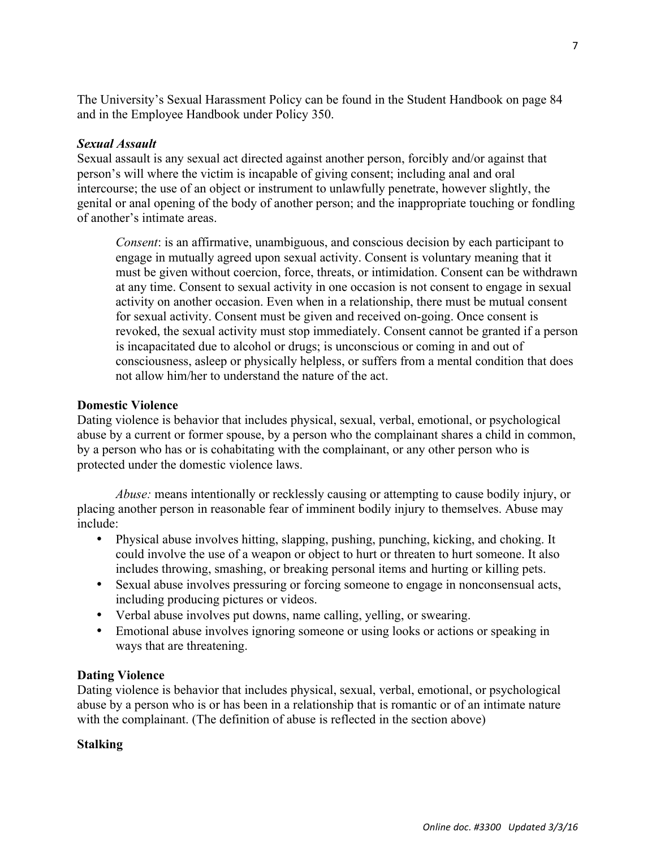The University's Sexual Harassment Policy can be found in the Student Handbook on page 84 and in the Employee Handbook under Policy 350.

# *Sexual Assault*

Sexual assault is any sexual act directed against another person, forcibly and/or against that person's will where the victim is incapable of giving consent; including anal and oral intercourse; the use of an object or instrument to unlawfully penetrate, however slightly, the genital or anal opening of the body of another person; and the inappropriate touching or fondling of another's intimate areas.

*Consent*: is an affirmative, unambiguous, and conscious decision by each participant to engage in mutually agreed upon sexual activity. Consent is voluntary meaning that it must be given without coercion, force, threats, or intimidation. Consent can be withdrawn at any time. Consent to sexual activity in one occasion is not consent to engage in sexual activity on another occasion. Even when in a relationship, there must be mutual consent for sexual activity. Consent must be given and received on-going. Once consent is revoked, the sexual activity must stop immediately. Consent cannot be granted if a person is incapacitated due to alcohol or drugs; is unconscious or coming in and out of consciousness, asleep or physically helpless, or suffers from a mental condition that does not allow him/her to understand the nature of the act.

# **Domestic Violence**

Dating violence is behavior that includes physical, sexual, verbal, emotional, or psychological abuse by a current or former spouse, by a person who the complainant shares a child in common, by a person who has or is cohabitating with the complainant, or any other person who is protected under the domestic violence laws.

*Abuse:* means intentionally or recklessly causing or attempting to cause bodily injury, or placing another person in reasonable fear of imminent bodily injury to themselves. Abuse may include:

- Physical abuse involves hitting, slapping, pushing, punching, kicking, and choking. It could involve the use of a weapon or object to hurt or threaten to hurt someone. It also includes throwing, smashing, or breaking personal items and hurting or killing pets.
- Sexual abuse involves pressuring or forcing someone to engage in nonconsensual acts, including producing pictures or videos.
- Verbal abuse involves put downs, name calling, yelling, or swearing.
- Emotional abuse involves ignoring someone or using looks or actions or speaking in ways that are threatening.

# **Dating Violence**

Dating violence is behavior that includes physical, sexual, verbal, emotional, or psychological abuse by a person who is or has been in a relationship that is romantic or of an intimate nature with the complainant. (The definition of abuse is reflected in the section above)

# **Stalking**